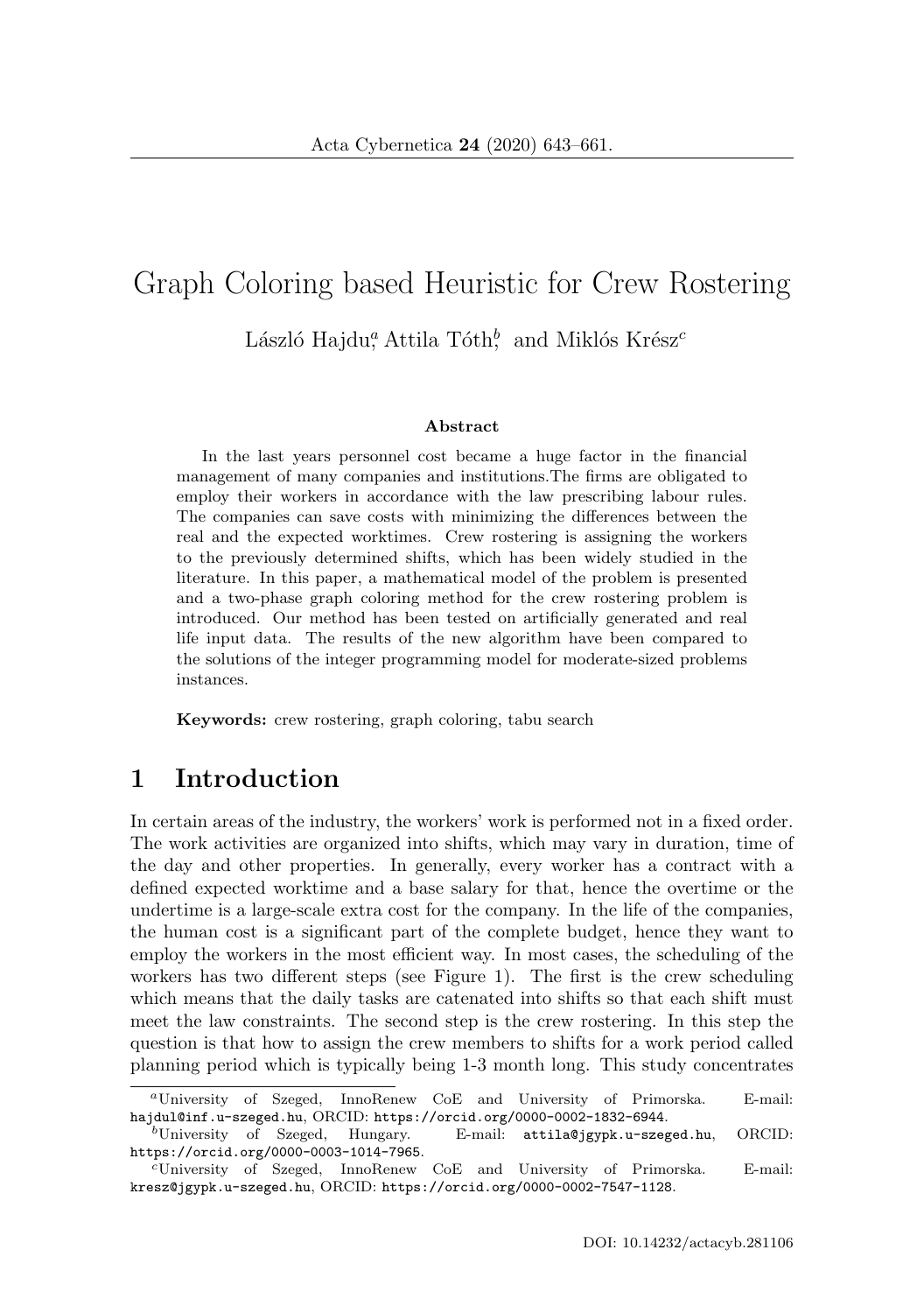# Graph Coloring based Heuristic for Crew Rostering László Hajdu<sup>a</sup> Attila Tóth<sup>b</sup>, and Miklós Krész<sup>c</sup>

#### **Abstract**

In the last years personnel cost became a huge factor in the financial management of many companies and institutions.The firms are obligated to employ their workers in accordance with the law prescribing labour rules. The companies can save costs with minimizing the differences between the real and the expected worktimes. Crew rostering is assigning the workers to the previously determined shifts, which has been widely studied in the literature. In this paper, a mathematical model of the problem is presented and a two-phase graph coloring method for the crew rostering problem is introduced. Our method has been tested on artificially generated and real life input data. The results of the new algorithm have been compared to the solutions of the integer programming model for moderate-sized problems instances.

**Keywords:** crew rostering, graph coloring, tabu search

## **1 Introduction**

In certain areas of the industry, the workers' work is performed not in a fixed order. The work activities are organized into shifts, which may vary in duration, time of the day and other properties. In generally, every worker has a contract with a defined expected worktime and a base salary for that, hence the overtime or the undertime is a large-scale extra cost for the company. In the life of the companies, the human cost is a significant part of the complete budget, hence they want to employ the workers in the most efficient way. In most cases, the scheduling of the workers has two different steps (see Figure 1). The first is the crew scheduling which means that the daily tasks are catenated into shifts so that each shift must meet the law constraints. The second step is the crew rostering. In this step the question is that how to assign the crew members to shifts for a work period called planning period which is typically being 1-3 month long. This study concentrates

<sup>a</sup>University of Szeged, InnoRenew CoE and University of Primorska. E-mail: hajdul@inf.u-szeged.hu, ORCID: https://orcid.org/0000-0002-1832-6944.

 ${}^b$ University of Szeged, Hungary. E-mail: attila@jgypk.u-szeged.hu, ORCID: https://orcid.org/0000-0003-1014-7965.

<sup>c</sup>University of Szeged, InnoRenew CoE and University of Primorska. E-mail: kresz@jgypk.u-szeged.hu, ORCID: https://orcid.org/0000-0002-7547-1128.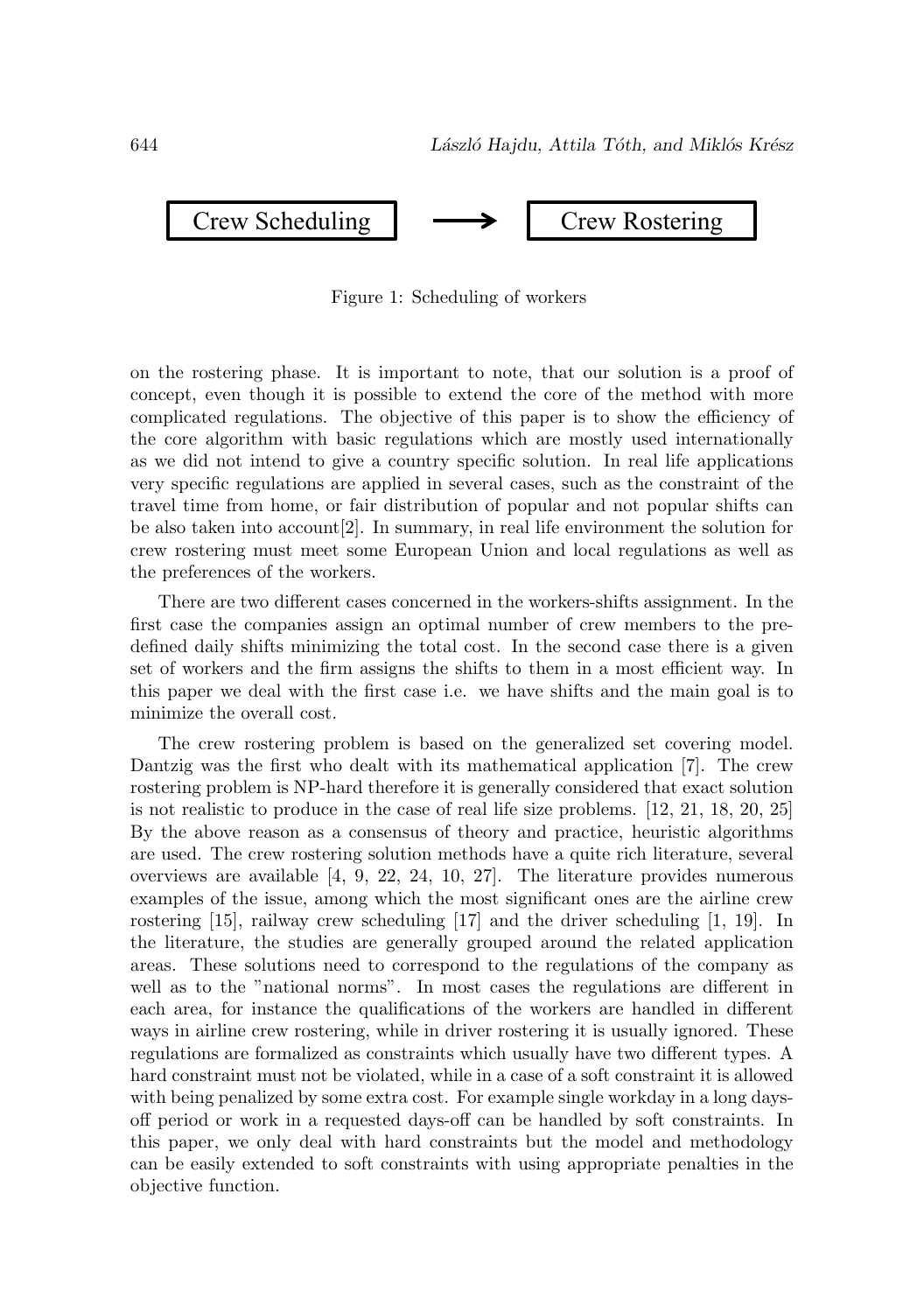

Figure 1: Scheduling of workers

on the rostering phase. It is important to note, that our solution is a proof of concept, even though it is possible to extend the core of the method with more complicated regulations. The objective of this paper is to show the efficiency of the core algorithm with basic regulations which are mostly used internationally as we did not intend to give a country specific solution. In real life applications very specific regulations are applied in several cases, such as the constraint of the travel time from home, or fair distribution of popular and not popular shifts can be also taken into account[2]. In summary, in real life environment the solution for crew rostering must meet some European Union and local regulations as well as the preferences of the workers.

There are two different cases concerned in the workers-shifts assignment. In the first case the companies assign an optimal number of crew members to the predefined daily shifts minimizing the total cost. In the second case there is a given set of workers and the firm assigns the shifts to them in a most efficient way. In this paper we deal with the first case i.e. we have shifts and the main goal is to minimize the overall cost.

The crew rostering problem is based on the generalized set covering model. Dantzig was the first who dealt with its mathematical application [7]. The crew rostering problem is NP-hard therefore it is generally considered that exact solution is not realistic to produce in the case of real life size problems. [12, 21, 18, 20, 25] By the above reason as a consensus of theory and practice, heuristic algorithms are used. The crew rostering solution methods have a quite rich literature, several overviews are available [4, 9, 22, 24, 10, 27]. The literature provides numerous examples of the issue, among which the most significant ones are the airline crew rostering [15], railway crew scheduling [17] and the driver scheduling [1, 19]. In the literature, the studies are generally grouped around the related application areas. These solutions need to correspond to the regulations of the company as well as to the "national norms". In most cases the regulations are different in each area, for instance the qualifications of the workers are handled in different ways in airline crew rostering, while in driver rostering it is usually ignored. These regulations are formalized as constraints which usually have two different types. A hard constraint must not be violated, while in a case of a soft constraint it is allowed with being penalized by some extra cost. For example single workday in a long daysoff period or work in a requested days-off can be handled by soft constraints. In this paper, we only deal with hard constraints but the model and methodology can be easily extended to soft constraints with using appropriate penalties in the objective function.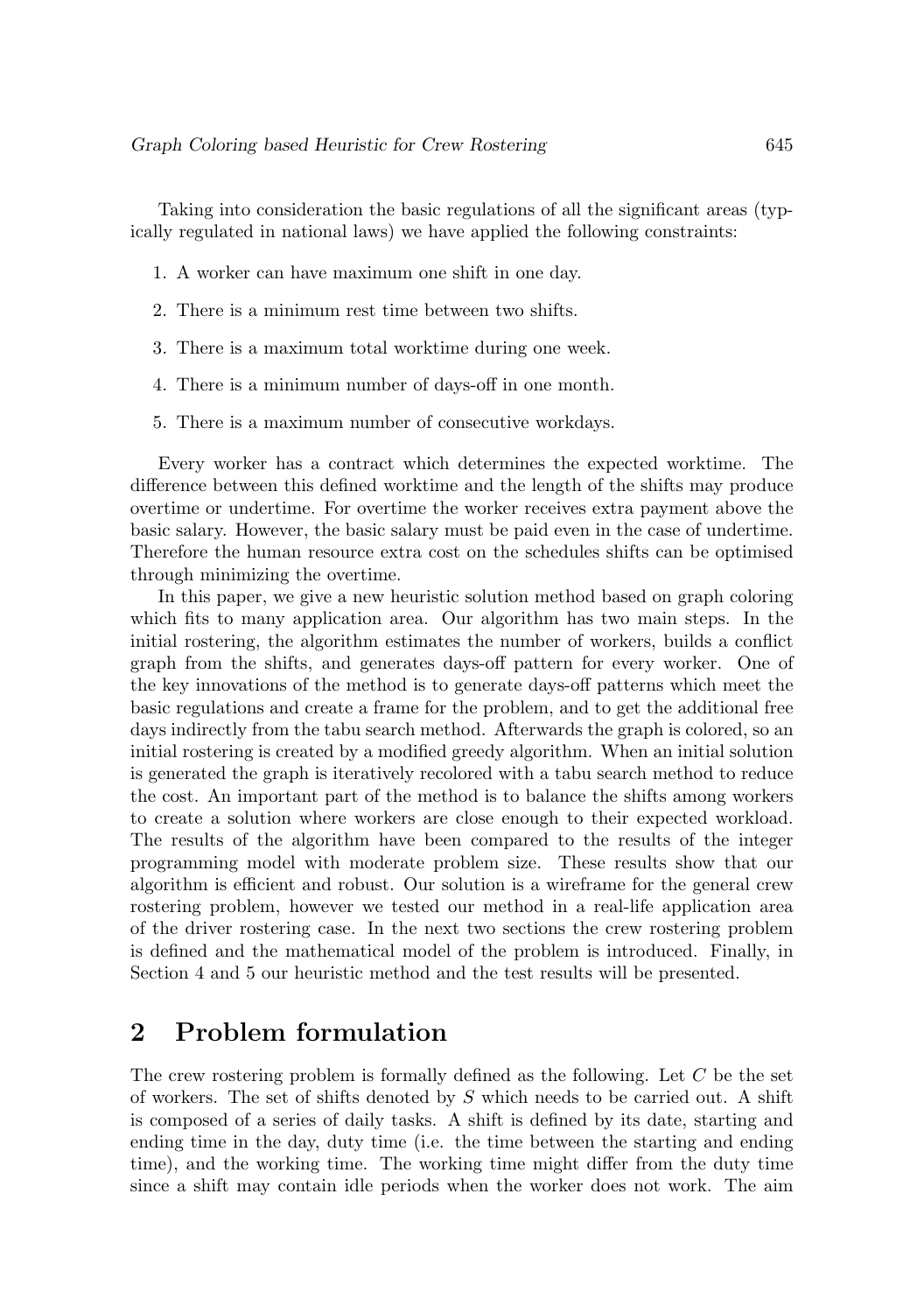Taking into consideration the basic regulations of all the significant areas (typically regulated in national laws) we have applied the following constraints:

- 1. A worker can have maximum one shift in one day.
- 2. There is a minimum rest time between two shifts.
- 3. There is a maximum total worktime during one week.
- 4. There is a minimum number of days-off in one month.
- 5. There is a maximum number of consecutive workdays.

Every worker has a contract which determines the expected worktime. The difference between this defined worktime and the length of the shifts may produce overtime or undertime. For overtime the worker receives extra payment above the basic salary. However, the basic salary must be paid even in the case of undertime. Therefore the human resource extra cost on the schedules shifts can be optimised through minimizing the overtime.

In this paper, we give a new heuristic solution method based on graph coloring which fits to many application area. Our algorithm has two main steps. In the initial rostering, the algorithm estimates the number of workers, builds a conflict graph from the shifts, and generates days-off pattern for every worker. One of the key innovations of the method is to generate days-off patterns which meet the basic regulations and create a frame for the problem, and to get the additional free days indirectly from the tabu search method. Afterwards the graph is colored, so an initial rostering is created by a modified greedy algorithm. When an initial solution is generated the graph is iteratively recolored with a tabu search method to reduce the cost. An important part of the method is to balance the shifts among workers to create a solution where workers are close enough to their expected workload. The results of the algorithm have been compared to the results of the integer programming model with moderate problem size. These results show that our algorithm is efficient and robust. Our solution is a wireframe for the general crew rostering problem, however we tested our method in a real-life application area of the driver rostering case. In the next two sections the crew rostering problem is defined and the mathematical model of the problem is introduced. Finally, in Section 4 and 5 our heuristic method and the test results will be presented.

## **2 Problem formulation**

The crew rostering problem is formally defined as the following. Let C be the set of workers. The set of shifts denoted by  $S$  which needs to be carried out. A shift is composed of a series of daily tasks. A shift is defined by its date, starting and ending time in the day, duty time (i.e. the time between the starting and ending time), and the working time. The working time might differ from the duty time since a shift may contain idle periods when the worker does not work. The aim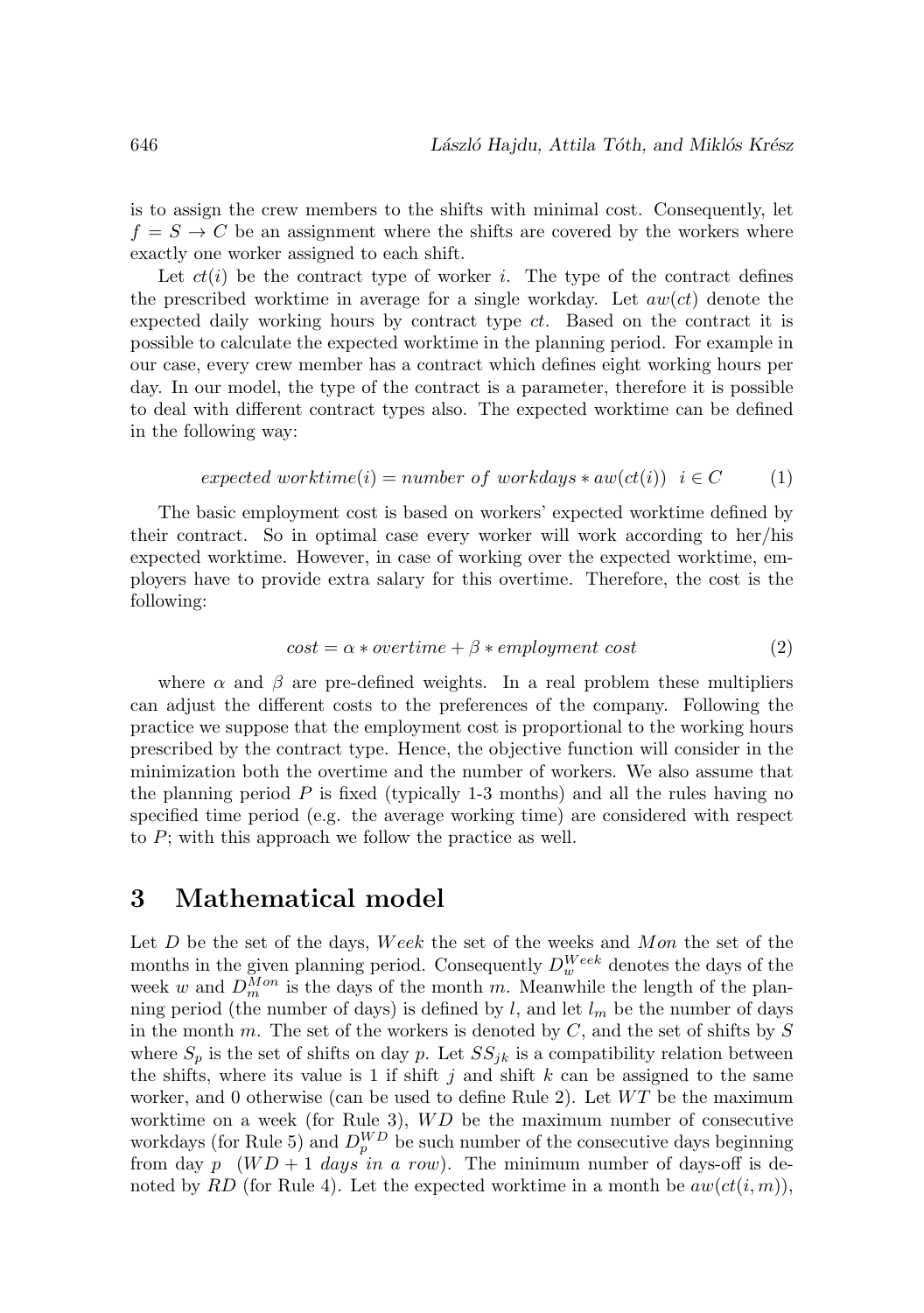is to assign the crew members to the shifts with minimal cost. Consequently, let  $f = S \rightarrow C$  be an assignment where the shifts are covered by the workers where exactly one worker assigned to each shift.

Let  $ct(i)$  be the contract type of worker i. The type of the contract defines the prescribed worktime in average for a single workday. Let  $aw(ct)$  denote the expected daily working hours by contract type ct. Based on the contract it is possible to calculate the expected worktime in the planning period. For example in our case, every crew member has a contract which defines eight working hours per day. In our model, the type of the contract is a parameter, therefore it is possible to deal with different contract types also. The expected worktime can be defined in the following way:

$$
expected\ worktime(i) = number\ of\ workdays * aw(ct(i))\ i \in C \tag{1}
$$

The basic employment cost is based on workers' expected worktime defined by their contract. So in optimal case every worker will work according to her/his expected worktime. However, in case of working over the expected worktime, employers have to provide extra salary for this overtime. Therefore, the cost is the following:

$$
cost = \alpha * overtime + \beta * employment cost
$$
 (2)

where  $\alpha$  and  $\beta$  are pre-defined weights. In a real problem these multipliers can adjust the different costs to the preferences of the company. Following the practice we suppose that the employment cost is proportional to the working hours prescribed by the contract type. Hence, the objective function will consider in the minimization both the overtime and the number of workers. We also assume that the planning period  $P$  is fixed (typically 1-3 months) and all the rules having no specified time period (e.g. the average working time) are considered with respect to P; with this approach we follow the practice as well.

## **3 Mathematical model**

Let  $D$  be the set of the days, Week the set of the weeks and Mon the set of the months in the given planning period. Consequently  $D_w^{Week}$  denotes the days of the week w and  $D_m^{Mon}$  is the days of the month m. Meanwhile the length of the planning period (the number of days) is defined by l, and let  $l_m$  be the number of days in the month  $m$ . The set of the workers is denoted by  $C$ , and the set of shifts by  $S$ where  $S_p$  is the set of shifts on day p. Let  $SS_{ik}$  is a compatibility relation between the shifts, where its value is 1 if shift j and shift  $k$  can be assigned to the same worker, and 0 otherwise (can be used to define Rule 2). Let  $WT$  be the maximum worktime on a week (for Rule 3),  $WD$  be the maximum number of consecutive workdays (for Rule 5) and  $D_p^{WD}$  be such number of the consecutive days beginning from day p  $(WD + 1$  days in a row). The minimum number of days-off is denoted by RD (for Rule 4). Let the expected worktime in a month be  $aw(ct(i, m))$ ,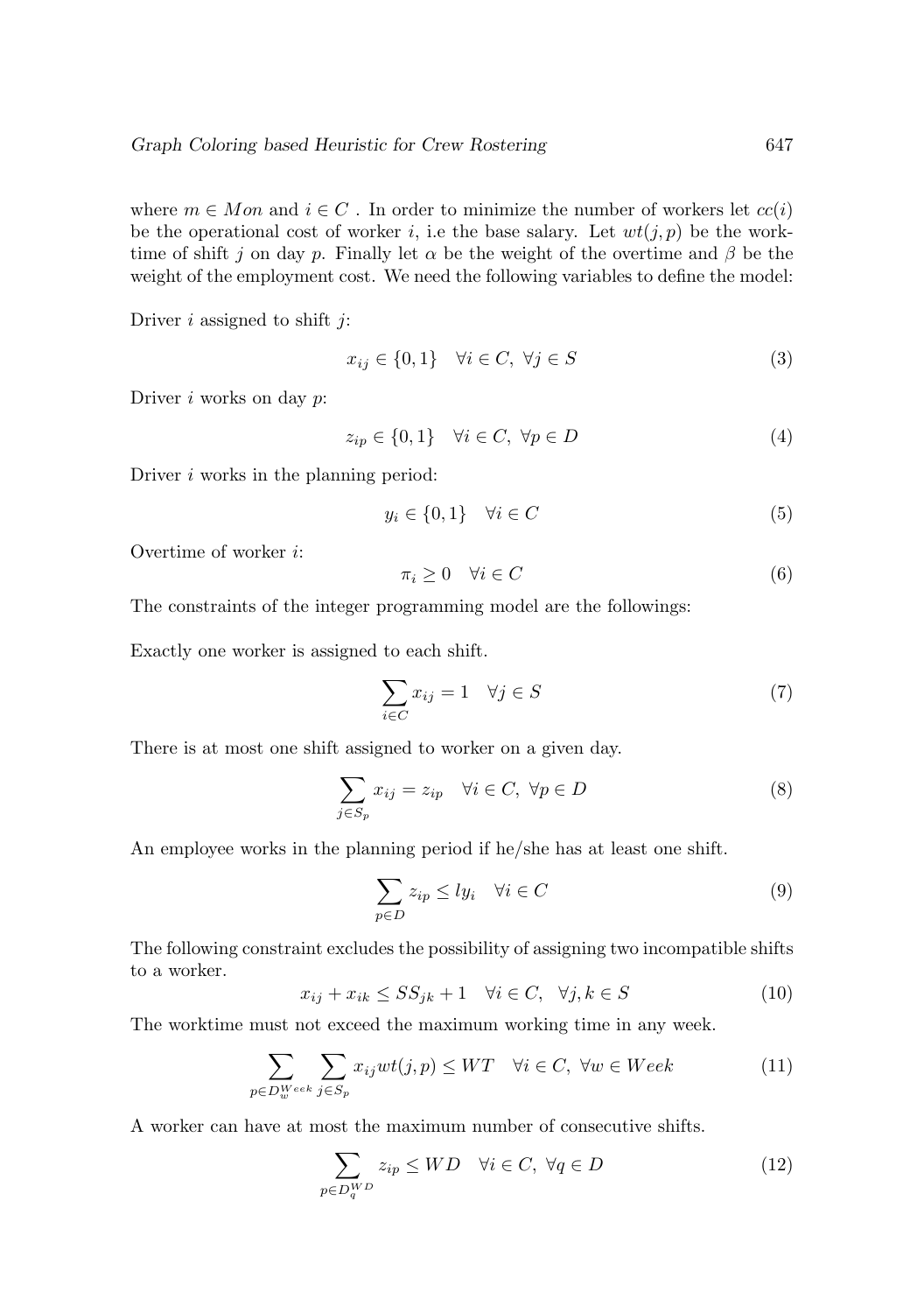where  $m \in Mon$  and  $i \in C$ . In order to minimize the number of workers let  $cc(i)$ be the operational cost of worker i, i.e the base salary. Let  $wt(j, p)$  be the worktime of shift j on day p. Finally let  $\alpha$  be the weight of the overtime and  $\beta$  be the weight of the employment cost. We need the following variables to define the model:

Driver  $i$  assigned to shift  $j$ :

$$
x_{ij} \in \{0, 1\} \quad \forall i \in C, \ \forall j \in S \tag{3}
$$

Driver  $i$  works on day  $p$ :

$$
z_{ip} \in \{0, 1\} \quad \forall i \in C, \ \forall p \in D \tag{4}
$$

Driver *i* works in the planning period:

$$
y_i \in \{0, 1\} \quad \forall i \in C \tag{5}
$$

Overtime of worker i:

$$
\pi_i \ge 0 \quad \forall i \in C \tag{6}
$$

The constraints of the integer programming model are the followings:

Exactly one worker is assigned to each shift.

$$
\sum_{i \in C} x_{ij} = 1 \quad \forall j \in S \tag{7}
$$

There is at most one shift assigned to worker on a given day.

$$
\sum_{j \in S_p} x_{ij} = z_{ip} \quad \forall i \in C, \ \forall p \in D \tag{8}
$$

An employee works in the planning period if he/she has at least one shift.

$$
\sum_{p \in D} z_{ip} \leq ly_i \quad \forall i \in C \tag{9}
$$

The following constraint excludes the possibility of assigning two incompatible shifts to a worker.

$$
x_{ij} + x_{ik} \le SS_{jk} + 1 \quad \forall i \in C, \quad \forall j, k \in S \tag{10}
$$

The worktime must not exceed the maximum working time in any week.

$$
\sum_{p \in D_{w}^{Week}} \sum_{j \in S_{p}} x_{ij} wt(j, p) \le WT \quad \forall i \in C, \ \forall w \in Week
$$
 (11)

A worker can have at most the maximum number of consecutive shifts.

$$
\sum_{p \in D_q^{WD}} z_{ip} \le WD \quad \forall i \in C, \ \forall q \in D \tag{12}
$$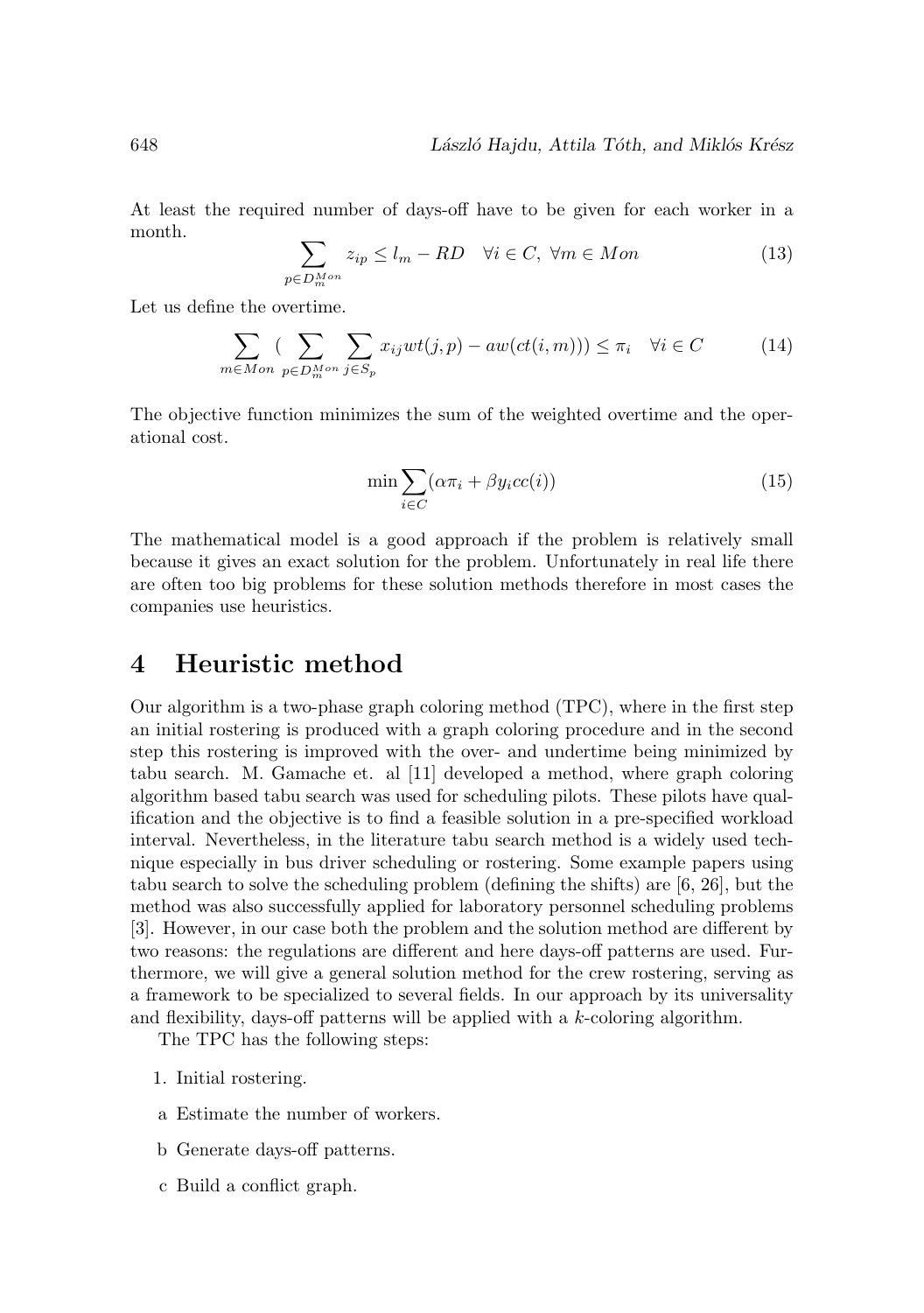At least the required number of days-off have to be given for each worker in a month.

$$
\sum_{p \in D_m^{Mon}} z_{ip} \le l_m - RD \quad \forall i \in C, \ \forall m \in Mon \tag{13}
$$

Let us define the overtime.

$$
\sum_{m \in Mon} \sum_{p \in D_m^{Mon}} \sum_{j \in S_p} x_{ij} wt(j, p) - aw(ct(i, m))) \le \pi_i \quad \forall i \in C \tag{14}
$$

The objective function minimizes the sum of the weighted overtime and the operational cost.

$$
\min \sum_{i \in C} (\alpha \pi_i + \beta y_i cc(i)) \tag{15}
$$

The mathematical model is a good approach if the problem is relatively small because it gives an exact solution for the problem. Unfortunately in real life there are often too big problems for these solution methods therefore in most cases the companies use heuristics.

## **4 Heuristic method**

Our algorithm is a two-phase graph coloring method (TPC), where in the first step an initial rostering is produced with a graph coloring procedure and in the second step this rostering is improved with the over- and undertime being minimized by tabu search. M. Gamache et. al [11] developed a method, where graph coloring algorithm based tabu search was used for scheduling pilots. These pilots have qualification and the objective is to find a feasible solution in a pre-specified workload interval. Nevertheless, in the literature tabu search method is a widely used technique especially in bus driver scheduling or rostering. Some example papers using tabu search to solve the scheduling problem (defining the shifts) are [6, 26], but the method was also successfully applied for laboratory personnel scheduling problems [3]. However, in our case both the problem and the solution method are different by two reasons: the regulations are different and here days-off patterns are used. Furthermore, we will give a general solution method for the crew rostering, serving as a framework to be specialized to several fields. In our approach by its universality and flexibility, days-off patterns will be applied with a k-coloring algorithm.

The TPC has the following steps:

- 1. Initial rostering.
- a Estimate the number of workers.
- b Generate days-off patterns.
- c Build a conflict graph.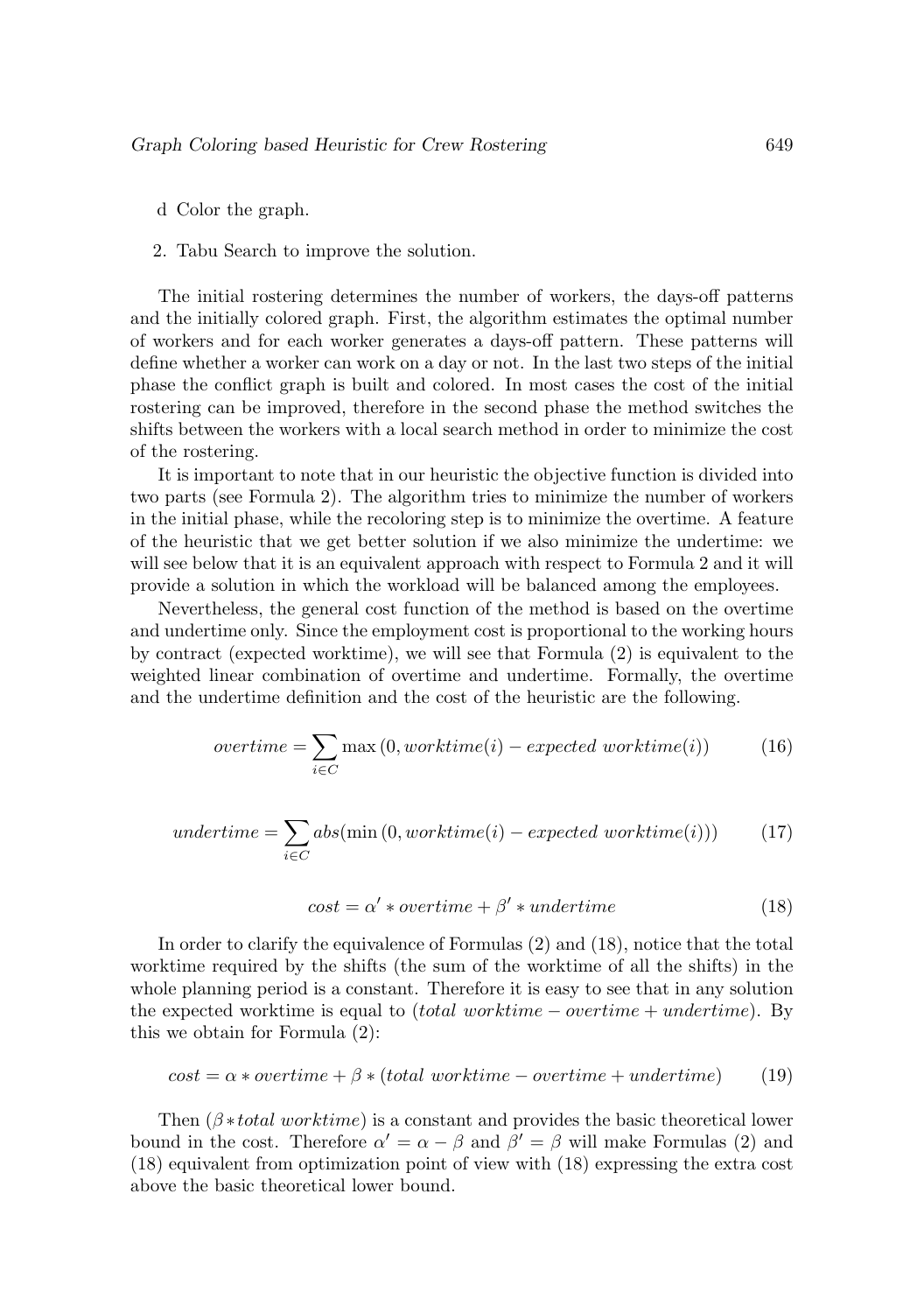- d Color the graph.
- 2. Tabu Search to improve the solution.

The initial rostering determines the number of workers, the days-off patterns and the initially colored graph. First, the algorithm estimates the optimal number of workers and for each worker generates a days-off pattern. These patterns will define whether a worker can work on a day or not. In the last two steps of the initial phase the conflict graph is built and colored. In most cases the cost of the initial rostering can be improved, therefore in the second phase the method switches the shifts between the workers with a local search method in order to minimize the cost of the rostering.

It is important to note that in our heuristic the objective function is divided into two parts (see Formula 2). The algorithm tries to minimize the number of workers in the initial phase, while the recoloring step is to minimize the overtime. A feature of the heuristic that we get better solution if we also minimize the undertime: we will see below that it is an equivalent approach with respect to Formula 2 and it will provide a solution in which the workload will be balanced among the employees.

Nevertheless, the general cost function of the method is based on the overtime and undertime only. Since the employment cost is proportional to the working hours by contract (expected worktime), we will see that Formula (2) is equivalent to the weighted linear combination of overtime and undertime. Formally, the overtime and the undertime definition and the cost of the heuristic are the following.

$$
overtime = \sum_{i \in C} \max(0, \text{worktime}(i) - expected \text{ worktime}(i))
$$
 (16)

$$
undertime = \sum_{i \in C} abs(min(0, worktime(i) - expected\ worktime(i))) \tag{17}
$$

$$
cost = \alpha' * overtime + \beta' * undertime
$$
\n(18)

In order to clarify the equivalence of Formulas (2) and (18), notice that the total worktime required by the shifts (the sum of the worktime of all the shifts) in the whole planning period is a constant. Therefore it is easy to see that in any solution the expected worktime is equal to (total worktime – overtime + undertime). By this we obtain for Formula (2):

$$
cost = \alpha * overtime + \beta * (total worktime - overtime + undertime)
$$
 (19)

Then  $(\beta * total \text{ working})$  is a constant and provides the basic theoretical lower bound in the cost. Therefore  $\alpha' = \alpha - \beta$  and  $\beta' = \beta$  will make Formulas (2) and (18) equivalent from optimization point of view with (18) expressing the extra cost above the basic theoretical lower bound.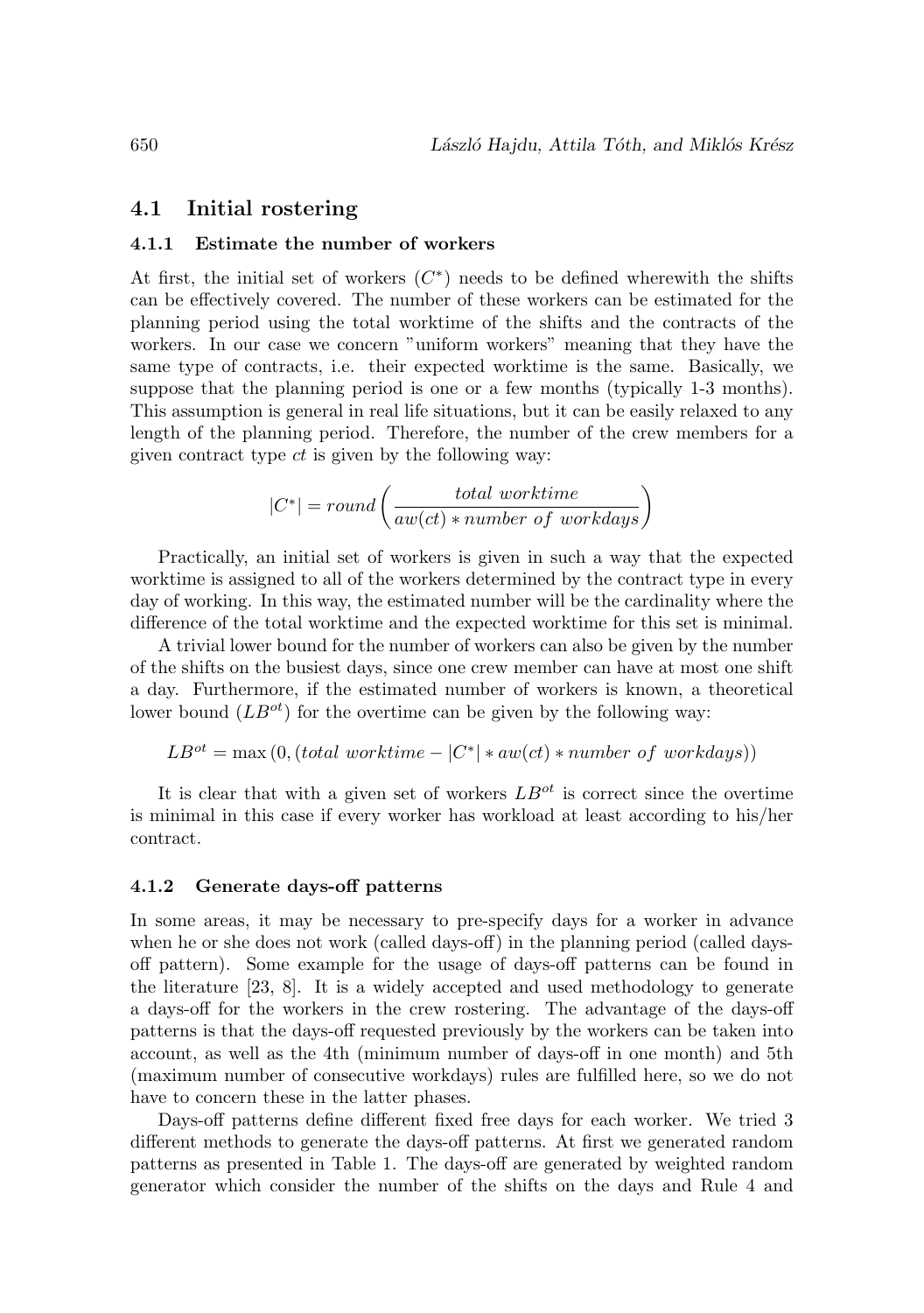### **4.1 Initial rostering**

#### **4.1.1 Estimate the number of workers**

At first, the initial set of workers  $(C<sup>*</sup>)$  needs to be defined wherewith the shifts can be effectively covered. The number of these workers can be estimated for the planning period using the total worktime of the shifts and the contracts of the workers. In our case we concern "uniform workers" meaning that they have the same type of contracts, i.e. their expected worktime is the same. Basically, we suppose that the planning period is one or a few months (typically 1-3 months). This assumption is general in real life situations, but it can be easily relaxed to any length of the planning period. Therefore, the number of the crew members for a given contract type  $ct$  is given by the following way:

$$
|C^*| = round\left(\frac{total\ worktime}{aw(ct) * number\ of\ workdays}\right)
$$

Practically, an initial set of workers is given in such a way that the expected worktime is assigned to all of the workers determined by the contract type in every day of working. In this way, the estimated number will be the cardinality where the difference of the total worktime and the expected worktime for this set is minimal.

A trivial lower bound for the number of workers can also be given by the number of the shifts on the busiest days, since one crew member can have at most one shift a day. Furthermore, if the estimated number of workers is known, a theoretical lower bound  $(LB^{ot})$  for the overtime can be given by the following way:

$$
LB^{ot} = \max(0, (total\ worktime - |C^*| * aw(ct) * number\ of\ workdays))
$$

It is clear that with a given set of workers  $LB^{ot}$  is correct since the overtime is minimal in this case if every worker has workload at least according to his/her contract.

#### **4.1.2 Generate days-off patterns**

In some areas, it may be necessary to pre-specify days for a worker in advance when he or she does not work (called days-off) in the planning period (called daysoff pattern). Some example for the usage of days-off patterns can be found in the literature [23, 8]. It is a widely accepted and used methodology to generate a days-off for the workers in the crew rostering. The advantage of the days-off patterns is that the days-off requested previously by the workers can be taken into account, as well as the 4th (minimum number of days-off in one month) and 5th (maximum number of consecutive workdays) rules are fulfilled here, so we do not have to concern these in the latter phases.

Days-off patterns define different fixed free days for each worker. We tried 3 different methods to generate the days-off patterns. At first we generated random patterns as presented in Table 1. The days-off are generated by weighted random generator which consider the number of the shifts on the days and Rule 4 and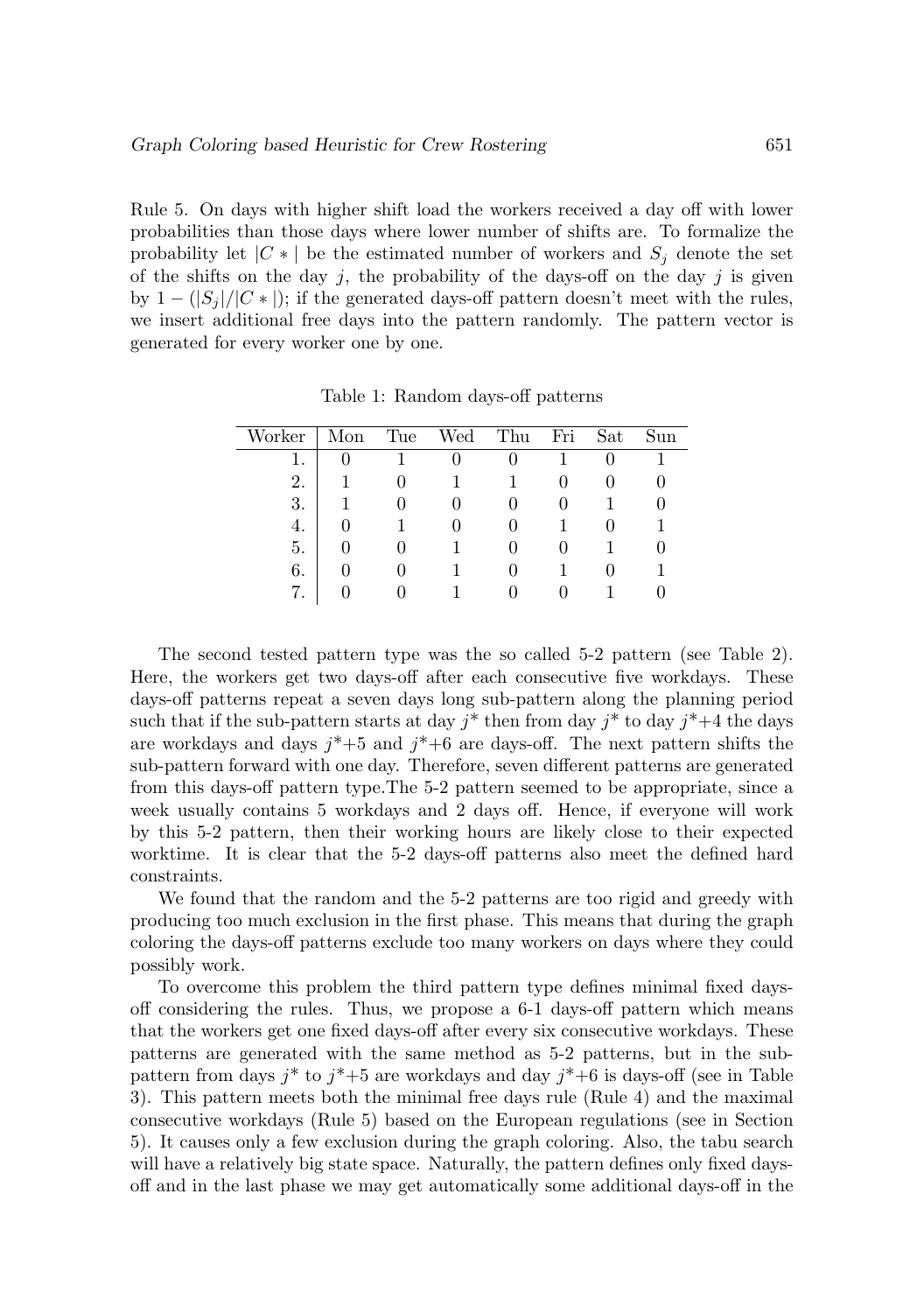Rule 5. On days with higher shift load the workers received a day off with lower probabilities than those days where lower number of shifts are. To formalize the probability let  $|C *|$  be the estimated number of workers and  $S_i$  denote the set of the shifts on the day j, the probability of the days-off on the day j is given by  $1 - (|S_i|/|C^*|)$ ; if the generated days-off pattern doesn't meet with the rules, we insert additional free days into the pattern randomly. The pattern vector is generated for every worker one by one.

| Worker | Mon | Tue | Wed | Thu | Fri | Sat | Sun |
|--------|-----|-----|-----|-----|-----|-----|-----|
|        |     |     |     |     |     |     |     |
| 2.     |     |     |     |     |     |     |     |
| 3.     |     |     |     |     |     |     |     |
| 4.     |     |     |     |     |     |     |     |
| 5.     |     |     |     |     |     |     |     |
| 6.     |     |     |     |     |     |     |     |
| 7.     |     |     |     |     |     |     |     |

Table 1: Random days-off patterns

The second tested pattern type was the so called 5-2 pattern (see Table 2). Here, the workers get two days-off after each consecutive five workdays. These days-off patterns repeat a seven days long sub-pattern along the planning period such that if the sub-pattern starts at day  $i^*$  then from day  $i^*$  to day  $i^*+4$  the days are workdays and days  $j^*+5$  and  $j^*+6$  are days-off. The next pattern shifts the sub-pattern forward with one day. Therefore, seven different patterns are generated from this days-off pattern type.The 5-2 pattern seemed to be appropriate, since a week usually contains 5 workdays and 2 days off. Hence, if everyone will work by this 5-2 pattern, then their working hours are likely close to their expected worktime. It is clear that the 5-2 days-off patterns also meet the defined hard constraints.

We found that the random and the 5-2 patterns are too rigid and greedy with producing too much exclusion in the first phase. This means that during the graph coloring the days-off patterns exclude too many workers on days where they could possibly work.

To overcome this problem the third pattern type defines minimal fixed daysoff considering the rules. Thus, we propose a 6-1 days-off pattern which means that the workers get one fixed days-off after every six consecutive workdays. These patterns are generated with the same method as 5-2 patterns, but in the subpattern from days  $j^*$  to  $j^*+5$  are workdays and day  $j^*+6$  is days-off (see in Table 3). This pattern meets both the minimal free days rule (Rule 4) and the maximal consecutive workdays (Rule 5) based on the European regulations (see in Section 5). It causes only a few exclusion during the graph coloring. Also, the tabu search will have a relatively big state space. Naturally, the pattern defines only fixed daysoff and in the last phase we may get automatically some additional days-off in the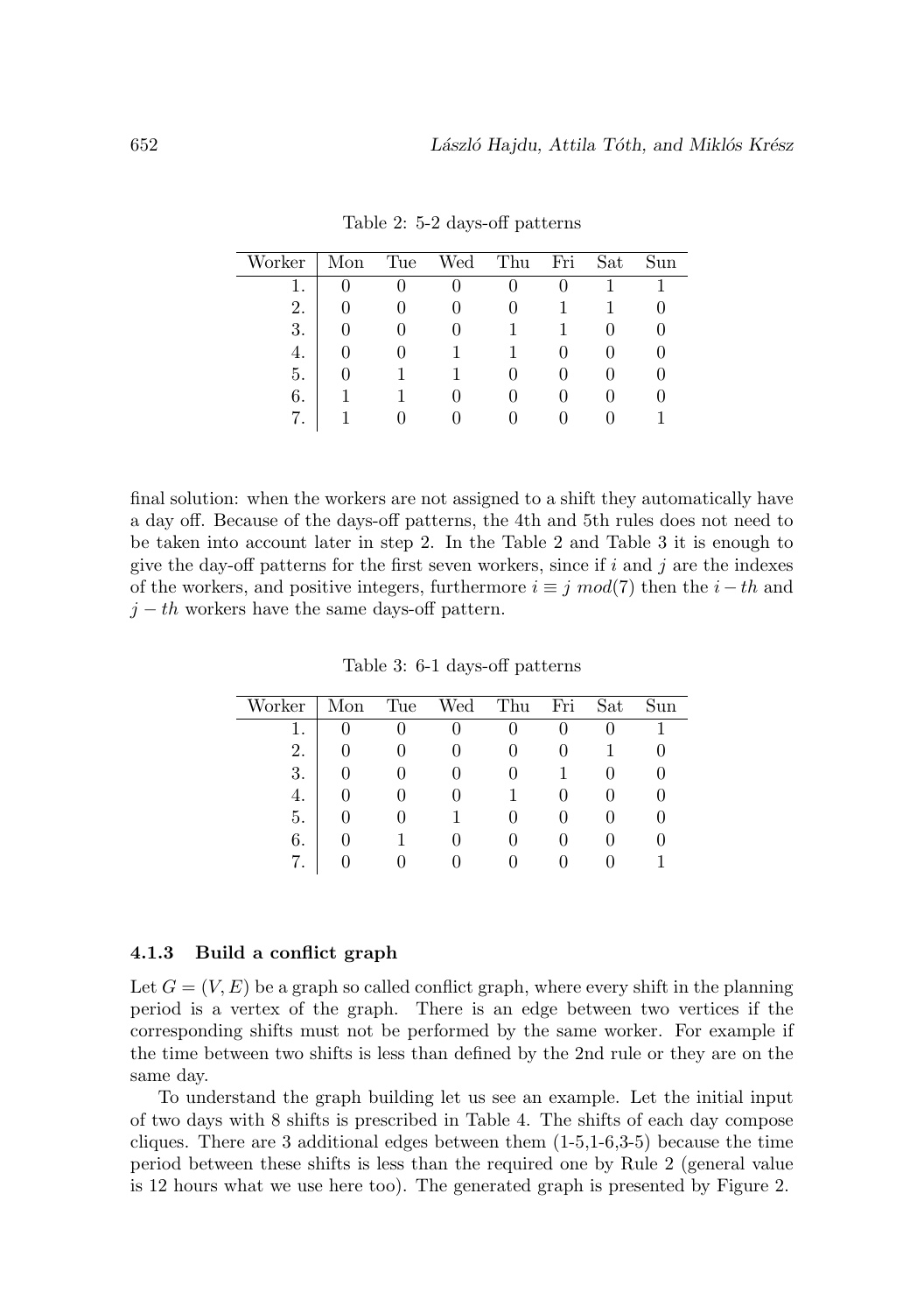| Worker | Mon | Tue | Wed | Thu | Fri | Sat | Sun |
|--------|-----|-----|-----|-----|-----|-----|-----|
|        |     |     |     |     |     |     |     |
| 2.     |     |     |     |     |     |     |     |
| 3.     |     |     |     |     |     |     |     |
| 4.     |     |     |     |     |     |     |     |
| 5.     |     |     |     |     |     |     |     |
| 6.     |     |     |     |     |     |     |     |
| 7.     |     |     |     |     |     |     |     |

Table 2: 5-2 days-off patterns

final solution: when the workers are not assigned to a shift they automatically have a day off. Because of the days-off patterns, the 4th and 5th rules does not need to be taken into account later in step 2. In the Table 2 and Table 3 it is enough to give the day-off patterns for the first seven workers, since if  $i$  and  $j$  are the indexes of the workers, and positive integers, furthermore  $i \equiv j \mod(7)$  then the  $i - th$  and  $j - th$  workers have the same days-off pattern.

Table 3: 6-1 days-off patterns

| Worker | Mon | Tue | Wed | Thu | Fri | Sat | Sun |
|--------|-----|-----|-----|-----|-----|-----|-----|
|        |     |     |     |     |     |     |     |
| 2.     |     |     |     |     |     |     |     |
| 3.     |     |     |     |     |     |     |     |
| 4.     |     |     |     |     |     |     |     |
| 5.     |     |     |     |     |     |     |     |
| 6.     |     |     |     |     |     |     |     |
|        |     |     |     |     |     |     |     |

#### **4.1.3 Build a conflict graph**

Let  $G = (V, E)$  be a graph so called conflict graph, where every shift in the planning period is a vertex of the graph. There is an edge between two vertices if the corresponding shifts must not be performed by the same worker. For example if the time between two shifts is less than defined by the 2nd rule or they are on the same day.

To understand the graph building let us see an example. Let the initial input of two days with 8 shifts is prescribed in Table 4. The shifts of each day compose cliques. There are 3 additional edges between them  $(1-5,1-6,3-5)$  because the time period between these shifts is less than the required one by Rule 2 (general value is 12 hours what we use here too). The generated graph is presented by Figure 2.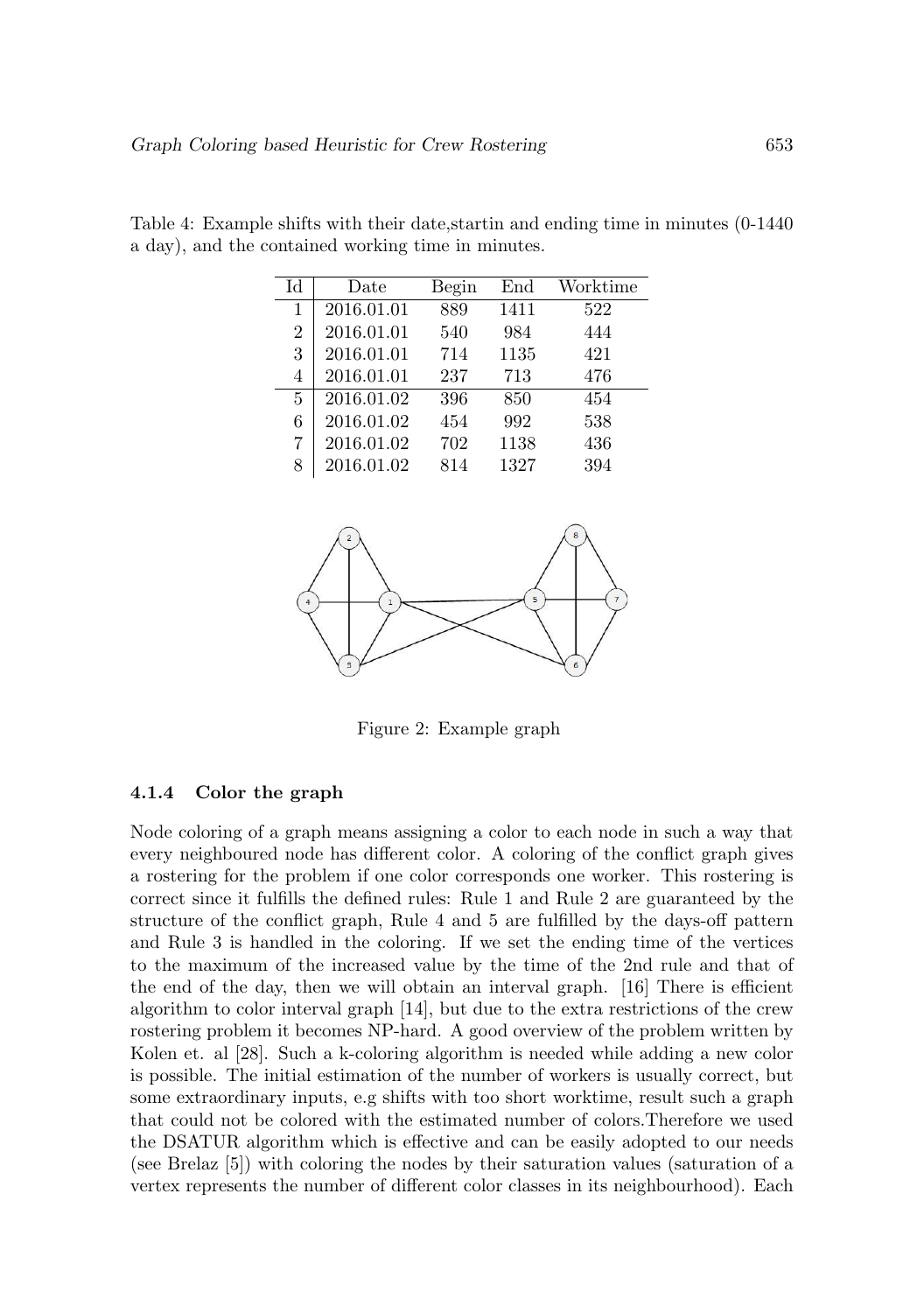| Id             | $_{\text{Date}}$ | Begin | End  | Worktime |
|----------------|------------------|-------|------|----------|
| 1              | 2016.01.01       | 889   | 1411 | 522      |
| $\overline{2}$ | 2016.01.01       | 540   | 984  | 444      |
| 3              | 2016.01.01       | 714   | 1135 | 421      |
| 4              | 2016.01.01       | 237   | 713  | 476      |
| 5              | 2016.01.02       | 396   | 850  | 454      |
| 6              | 2016.01.02       | 454   | 992  | 538      |
| 7              | 2016.01.02       | 702   | 1138 | 436      |
| 8              | 2016.01.02       | 814   | 1327 | 394      |

Table 4: Example shifts with their date,startin and ending time in minutes (0-1440 a day), and the contained working time in minutes.



Figure 2: Example graph

#### **4.1.4 Color the graph**

Node coloring of a graph means assigning a color to each node in such a way that every neighboured node has different color. A coloring of the conflict graph gives a rostering for the problem if one color corresponds one worker. This rostering is correct since it fulfills the defined rules: Rule 1 and Rule 2 are guaranteed by the structure of the conflict graph, Rule 4 and 5 are fulfilled by the days-off pattern and Rule 3 is handled in the coloring. If we set the ending time of the vertices to the maximum of the increased value by the time of the 2nd rule and that of the end of the day, then we will obtain an interval graph. [16] There is efficient algorithm to color interval graph [14], but due to the extra restrictions of the crew rostering problem it becomes NP-hard. A good overview of the problem written by Kolen et. al [28]. Such a k-coloring algorithm is needed while adding a new color is possible. The initial estimation of the number of workers is usually correct, but some extraordinary inputs, e.g shifts with too short worktime, result such a graph that could not be colored with the estimated number of colors.Therefore we used the DSATUR algorithm which is effective and can be easily adopted to our needs (see Brelaz [5]) with coloring the nodes by their saturation values (saturation of a vertex represents the number of different color classes in its neighbourhood). Each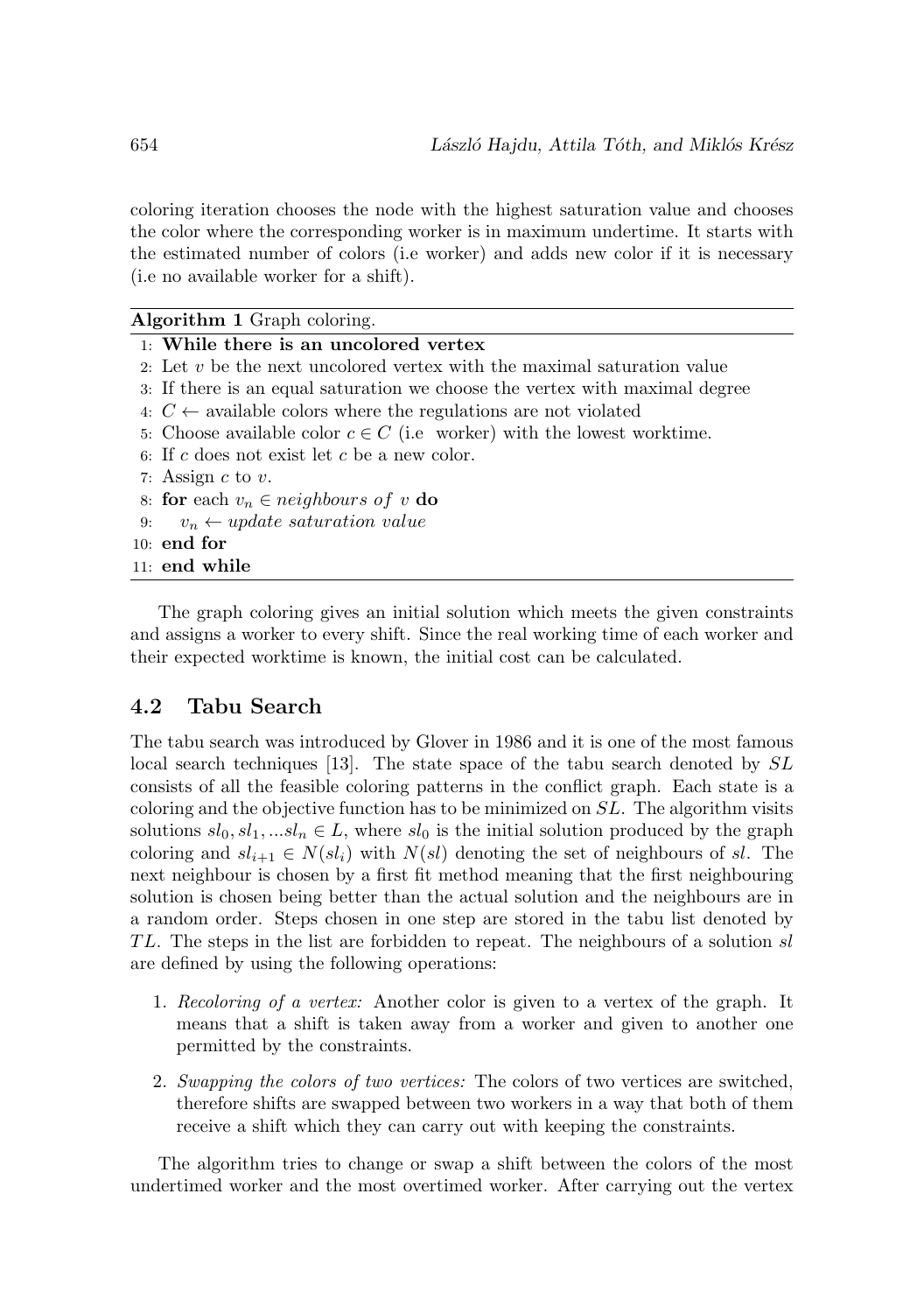coloring iteration chooses the node with the highest saturation value and chooses the color where the corresponding worker is in maximum undertime. It starts with the estimated number of colors (i.e worker) and adds new color if it is necessary (i.e no available worker for a shift).

| <b>Algorithm 1</b> Graph coloring.                                          |  |
|-----------------------------------------------------------------------------|--|
| $\pm$ While there is an uncolored vertex                                    |  |
| 2. Let $v$ be the next uncolored vertex with the maximal saturation value   |  |
| 3. If there is an equal saturation we choose the vertex with maximal degree |  |
| 4: $C \leftarrow$ available colors where the regulations are not violated   |  |
| 5: Choose available color $c \in C$ (i.e worker) with the lowest worktime.  |  |
| 6: If c does not exist let c be a new color.                                |  |
| 7: Assign $c$ to $v$ .                                                      |  |
| 8: for each $v_n \in$ neighbours of v do                                    |  |
| $v_n \leftarrow update saturation value$<br>9:                              |  |
| $10:$ end for                                                               |  |
| 11: end while                                                               |  |
|                                                                             |  |

The graph coloring gives an initial solution which meets the given constraints and assigns a worker to every shift. Since the real working time of each worker and their expected worktime is known, the initial cost can be calculated.

## **4.2 Tabu Search**

The tabu search was introduced by Glover in 1986 and it is one of the most famous local search techniques [13]. The state space of the tabu search denoted by SL consists of all the feasible coloring patterns in the conflict graph. Each state is a coloring and the objective function has to be minimized on SL. The algorithm visits solutions  $sl_0, sl_1, ... sl_n \in L$ , where  $sl_0$  is the initial solution produced by the graph coloring and  $sl_{i+1} \in N(sl_i)$  with  $N(sl)$  denoting the set of neighbours of sl. The next neighbour is chosen by a first fit method meaning that the first neighbouring solution is chosen being better than the actual solution and the neighbours are in a random order. Steps chosen in one step are stored in the tabu list denoted by TL. The steps in the list are forbidden to repeat. The neighbours of a solution sl are defined by using the following operations:

- 1. Recoloring of a vertex: Another color is given to a vertex of the graph. It means that a shift is taken away from a worker and given to another one permitted by the constraints.
- 2. Swapping the colors of two vertices: The colors of two vertices are switched, therefore shifts are swapped between two workers in a way that both of them receive a shift which they can carry out with keeping the constraints.

The algorithm tries to change or swap a shift between the colors of the most undertimed worker and the most overtimed worker. After carrying out the vertex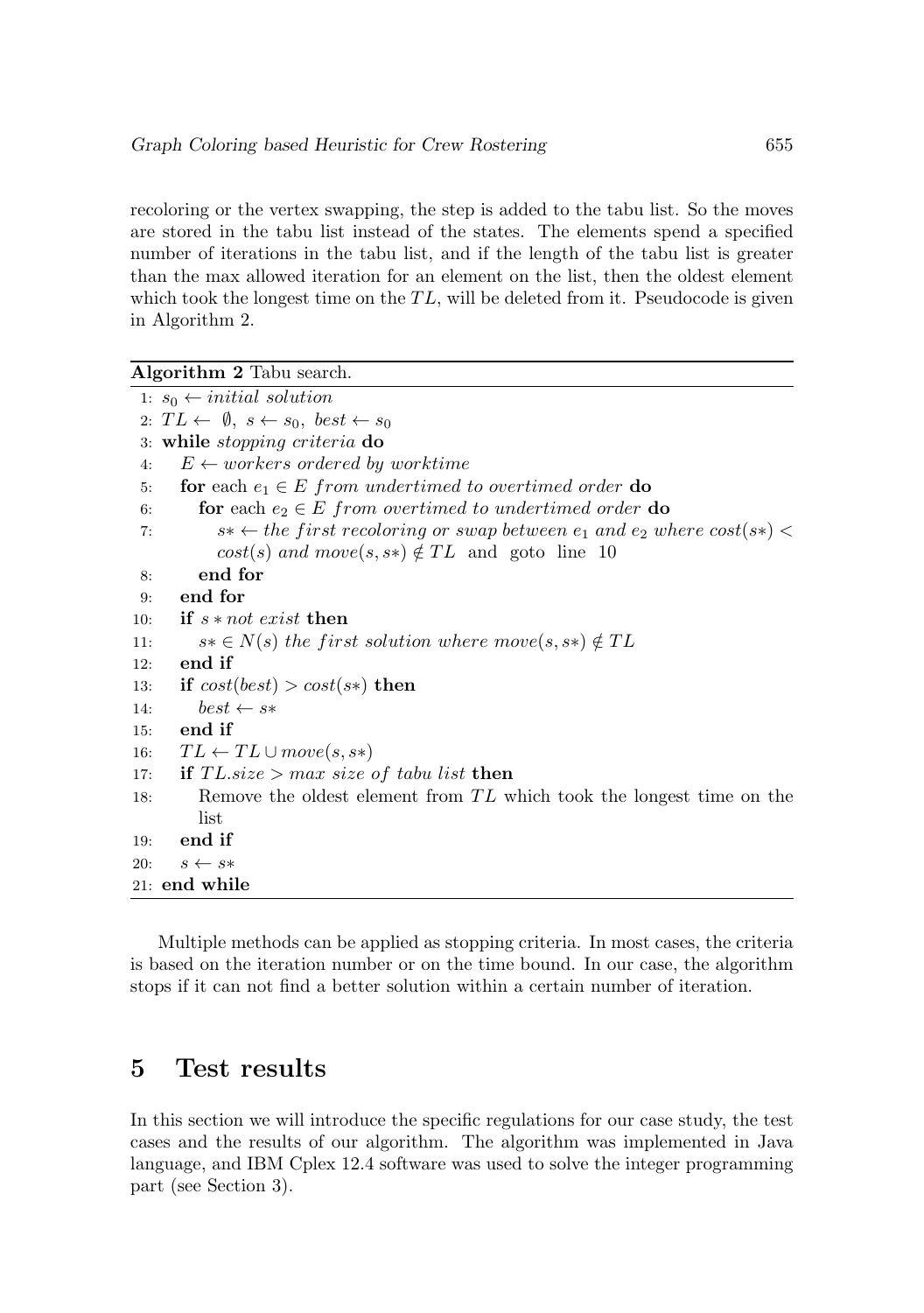recoloring or the vertex swapping, the step is added to the tabu list. So the moves are stored in the tabu list instead of the states. The elements spend a specified number of iterations in the tabu list, and if the length of the tabu list is greater than the max allowed iteration for an element on the list, then the oldest element which took the longest time on the  $TL$ , will be deleted from it. Pseudocode is given in Algorithm 2.

**Algorithm 2** Tabu search.

|     | 1: $s_0 \leftarrow initial \; solution$                                                 |
|-----|-----------------------------------------------------------------------------------------|
|     | 2: $TL \leftarrow \emptyset$ , $s \leftarrow s_0$ , best $\leftarrow s_0$               |
|     | 3: while stopping criteria do                                                           |
| 4:  | $E \leftarrow \textit{workers}$ ordered by worktime                                     |
| 5:  | for each $e_1 \in E$ from undertimed to overtimed order do                              |
| 6:  | for each $e_2 \in E$ from overtimed to undertimed order do                              |
| 7:  | $s* \leftarrow$ the first recoloring or swap between $e_1$ and $e_2$ where $cost(s*) <$ |
|     | $cost(s)$ and $move(s, s*) \notin TL$ and goto line 10                                  |
| 8:  | end for                                                                                 |
| 9:  | end for                                                                                 |
| 10: | if $s$ <i>* not exist then</i>                                                          |
| 11: | $s*\in N(s)$ the first solution where move $(s, s*)\notin TL$                           |
| 12: | end if                                                                                  |
| 13: | if $cost(best) > cost(s*)$ then                                                         |
| 14: | $best \leftarrow s*$                                                                    |
| 15: | end if                                                                                  |
| 16: | $TL \leftarrow TL \cup move(s, s*)$                                                     |
| 17: | if $TL.size > max size of tabu list$ then                                               |
| 18: | Remove the oldest element from TL which took the longest time on the                    |
|     | list                                                                                    |
| 19: | end if                                                                                  |
| 20: | $s \leftarrow s*$                                                                       |
|     | 21: <b>end while</b>                                                                    |

Multiple methods can be applied as stopping criteria. In most cases, the criteria is based on the iteration number or on the time bound. In our case, the algorithm stops if it can not find a better solution within a certain number of iteration.

## **5 Test results**

In this section we will introduce the specific regulations for our case study, the test cases and the results of our algorithm. The algorithm was implemented in Java language, and IBM Cplex 12.4 software was used to solve the integer programming part (see Section 3).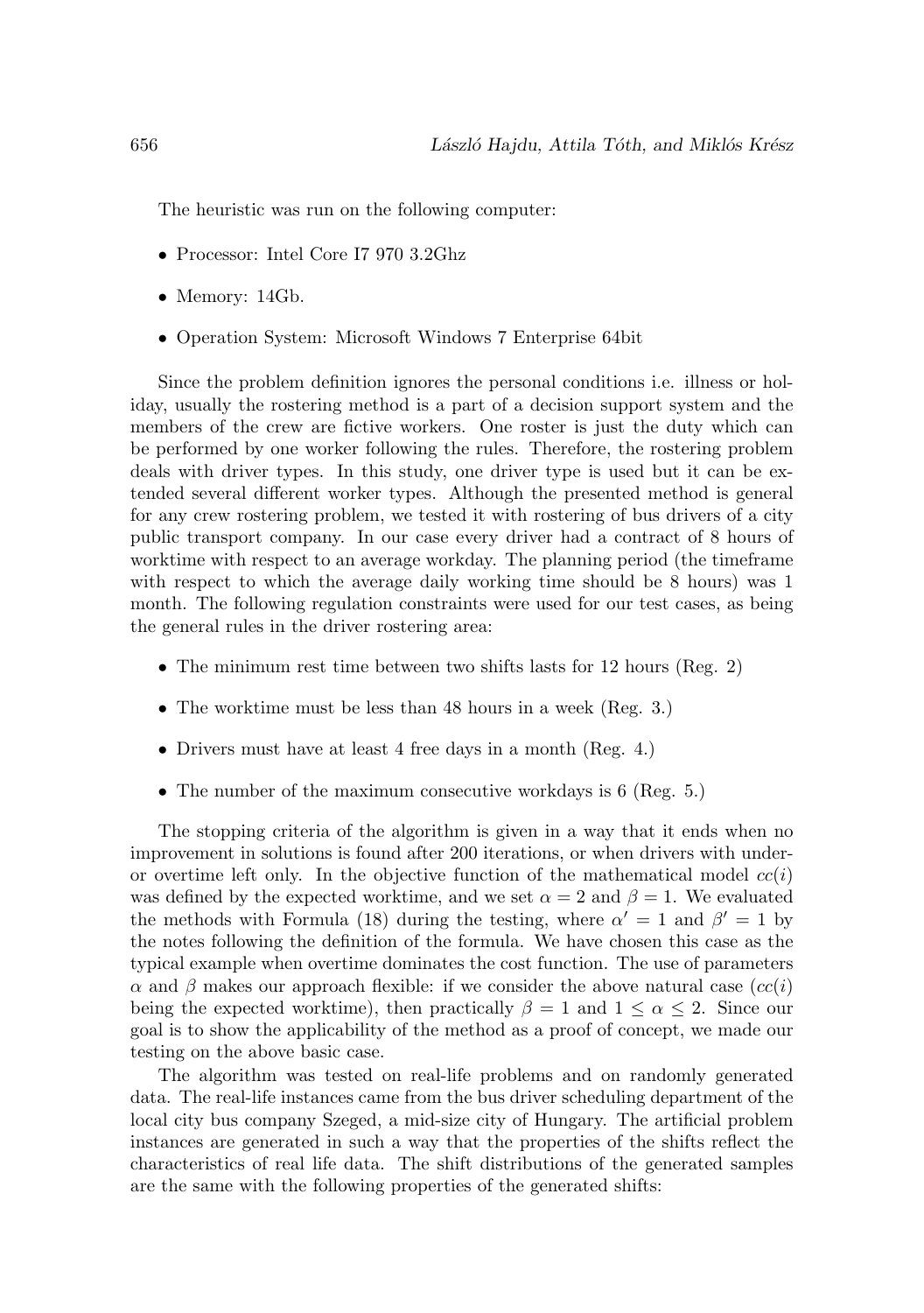The heuristic was run on the following computer:

- Processor: Intel Core I7 970 3.2Ghz
- Memory: 14Gb.
- Operation System: Microsoft Windows 7 Enterprise 64bit

Since the problem definition ignores the personal conditions i.e. illness or holiday, usually the rostering method is a part of a decision support system and the members of the crew are fictive workers. One roster is just the duty which can be performed by one worker following the rules. Therefore, the rostering problem deals with driver types. In this study, one driver type is used but it can be extended several different worker types. Although the presented method is general for any crew rostering problem, we tested it with rostering of bus drivers of a city public transport company. In our case every driver had a contract of 8 hours of worktime with respect to an average workday. The planning period (the timeframe with respect to which the average daily working time should be 8 hours) was 1 month. The following regulation constraints were used for our test cases, as being the general rules in the driver rostering area:

- The minimum rest time between two shifts lasts for 12 hours (Reg. 2)
- The worktime must be less than 48 hours in a week (Reg. 3.)
- Drivers must have at least 4 free days in a month (Reg. 4.)
- The number of the maximum consecutive workdays is 6 (Reg. 5.)

The stopping criteria of the algorithm is given in a way that it ends when no improvement in solutions is found after 200 iterations, or when drivers with underor overtime left only. In the objective function of the mathematical model  $cc(i)$ was defined by the expected worktime, and we set  $\alpha = 2$  and  $\beta = 1$ . We evaluated the methods with Formula (18) during the testing, where  $\alpha' = 1$  and  $\beta' = 1$  by the notes following the definition of the formula. We have chosen this case as the typical example when overtime dominates the cost function. The use of parameters  $\alpha$  and  $\beta$  makes our approach flexible: if we consider the above natural case  $(cc(i))$ being the expected worktime), then practically  $\beta = 1$  and  $1 \le \alpha \le 2$ . Since our goal is to show the applicability of the method as a proof of concept, we made our testing on the above basic case.

The algorithm was tested on real-life problems and on randomly generated data. The real-life instances came from the bus driver scheduling department of the local city bus company Szeged, a mid-size city of Hungary. The artificial problem instances are generated in such a way that the properties of the shifts reflect the characteristics of real life data. The shift distributions of the generated samples are the same with the following properties of the generated shifts: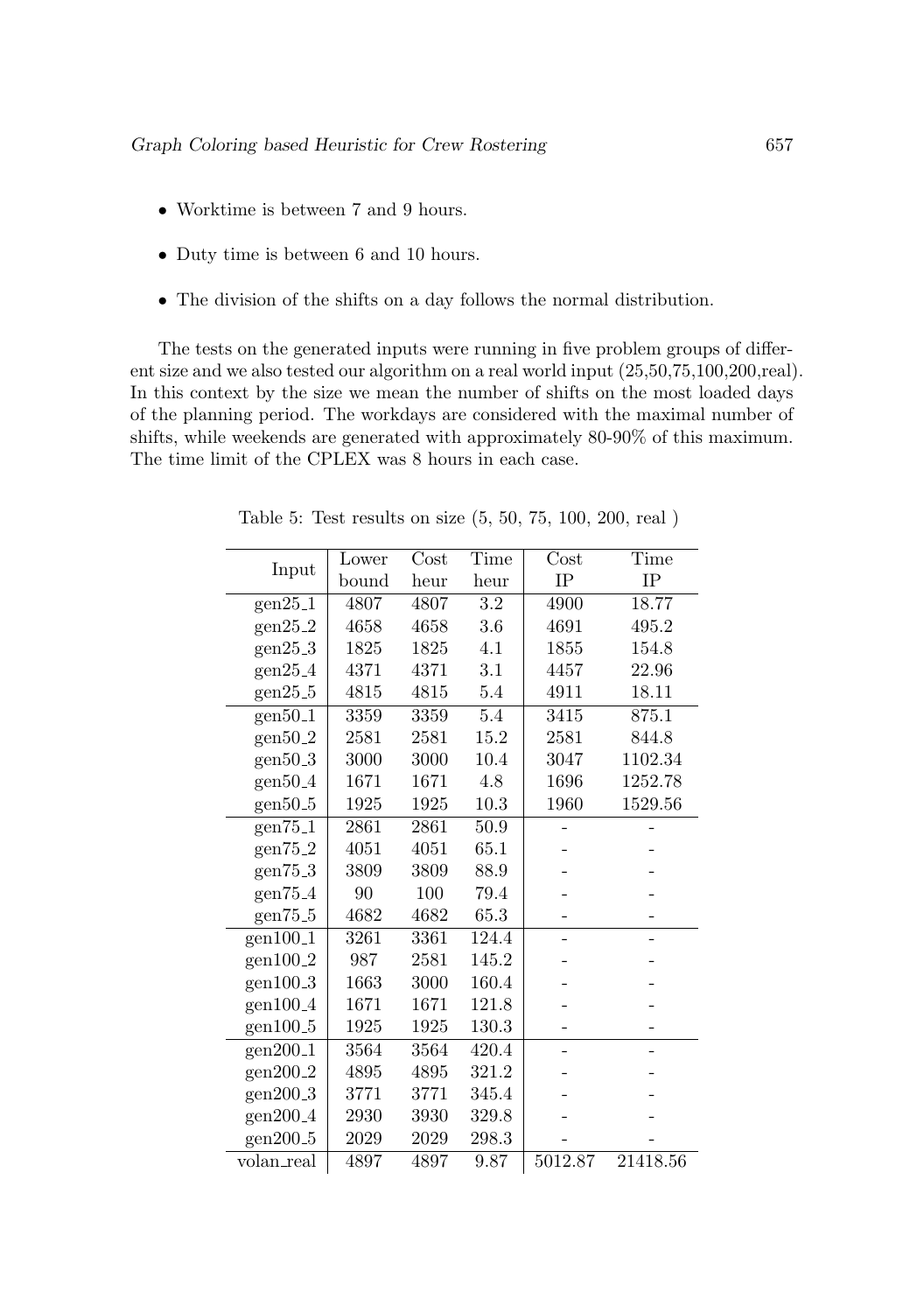- Worktime is between 7 and 9 hours.
- Duty time is between 6 and 10 hours.
- The division of the shifts on a day follows the normal distribution.

The tests on the generated inputs were running in five problem groups of different size and we also tested our algorithm on a real world input (25,50,75,100,200,real). In this context by the size we mean the number of shifts on the most loaded days of the planning period. The workdays are considered with the maximal number of shifts, while weekends are generated with approximately 80-90% of this maximum. The time limit of the CPLEX was 8 hours in each case.

|                       | Lower | Cost | Time               | Cost    | Time     |
|-----------------------|-------|------|--------------------|---------|----------|
| Input                 | bound | heur | heur               | IP      | IP       |
| $gen25_1$             | 4807  | 4807 | $\overline{3.2}$   | 4900    | 18.77    |
| $gen25_2$             | 4658  | 4658 | 3.6                | 4691    | 495.2    |
| gen25.3               | 1825  | 1825 | 4.1                | 1855    | 154.8    |
| $gen25_4$             | 4371  | 4371 | 3.1                | 4457    | 22.96    |
| gen25.5               | 4815  | 4815 | 5.4                | 4911    | 18.11    |
| $gen50-1$             | 3359  | 3359 | 5.4                | 3415    | 875.1    |
| $gen50-2$             | 2581  | 2581 | 15.2               | 2581    | 844.8    |
| gen50.3               | 3000  | 3000 | 10.4               | 3047    | 1102.34  |
| gen50.4               | 1671  | 1671 | 4.8                | 1696    | 1252.78  |
| gen50.5               | 1925  | 1925 | $10.3\,$           | 1960    | 1529.56  |
| gen75 <sub>-1</sub>   | 2861  | 2861 | 50.9               |         |          |
| gen75 <sub>-2</sub>   | 4051  | 4051 | 65.1               |         |          |
| gen75.3               | 3809  | 3809 | 88.9               |         |          |
| gen75 <sub>-4</sub>   | 90    | 100  | 79.4               |         |          |
| gen75 <sub>-5</sub>   | 4682  | 4682 | 65.3               |         |          |
| $gen10\overline{0.1}$ | 3261  | 3361 | 124.4              |         |          |
| gen100.2              | 987   | 2581 | 145.2              |         |          |
| gen100.3              | 1663  | 3000 | 160.4              |         |          |
| gen100.4              | 1671  | 1671 | 121.8              |         |          |
| gen100.5              | 1925  | 1925 | 130.3              |         |          |
| $gen200-1$            | 3564  | 3564 | $\overline{420.4}$ |         |          |
| gen200 <sub>-2</sub>  | 4895  | 4895 | 321.2              |         |          |
| gen200 <sub>-3</sub>  | 3771  | 3771 | 345.4              |         |          |
| gen200 <sub>-4</sub>  | 2930  | 3930 | 329.8              |         |          |
| gen200 <sub>-5</sub>  | 2029  | 2029 | 298.3              |         |          |
| volan_real            | 4897  | 4897 | 9.87               | 5012.87 | 21418.56 |

Table 5: Test results on size (5, 50, 75, 100, 200, real )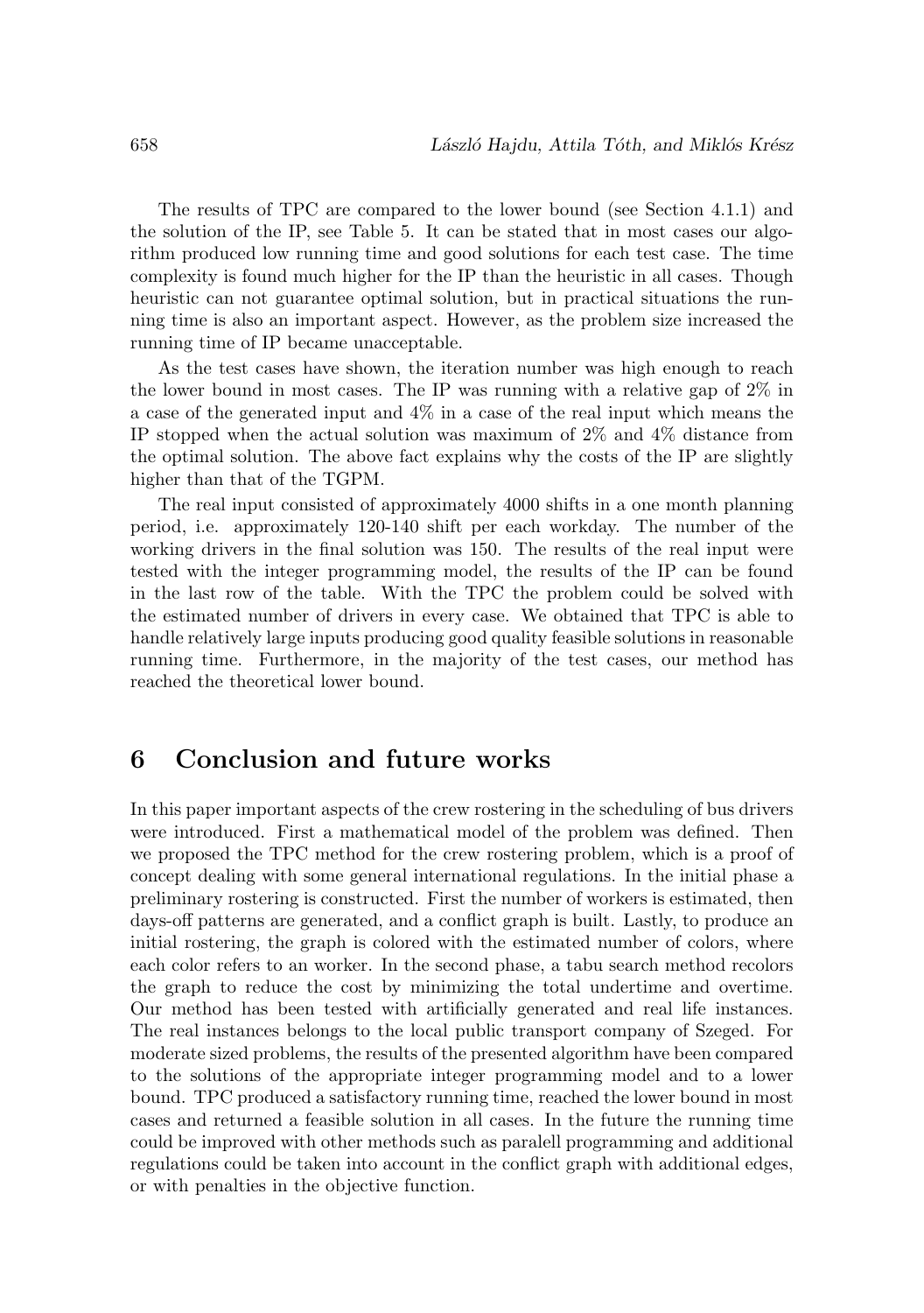The results of TPC are compared to the lower bound (see Section 4.1.1) and the solution of the IP, see Table 5. It can be stated that in most cases our algorithm produced low running time and good solutions for each test case. The time complexity is found much higher for the IP than the heuristic in all cases. Though heuristic can not guarantee optimal solution, but in practical situations the running time is also an important aspect. However, as the problem size increased the running time of IP became unacceptable.

As the test cases have shown, the iteration number was high enough to reach the lower bound in most cases. The IP was running with a relative gap of 2% in a case of the generated input and 4% in a case of the real input which means the IP stopped when the actual solution was maximum of 2% and 4% distance from the optimal solution. The above fact explains why the costs of the IP are slightly higher than that of the TGPM.

The real input consisted of approximately 4000 shifts in a one month planning period, i.e. approximately 120-140 shift per each workday. The number of the working drivers in the final solution was 150. The results of the real input were tested with the integer programming model, the results of the IP can be found in the last row of the table. With the TPC the problem could be solved with the estimated number of drivers in every case. We obtained that TPC is able to handle relatively large inputs producing good quality feasible solutions in reasonable running time. Furthermore, in the majority of the test cases, our method has reached the theoretical lower bound.

# **6 Conclusion and future works**

In this paper important aspects of the crew rostering in the scheduling of bus drivers were introduced. First a mathematical model of the problem was defined. Then we proposed the TPC method for the crew rostering problem, which is a proof of concept dealing with some general international regulations. In the initial phase a preliminary rostering is constructed. First the number of workers is estimated, then days-off patterns are generated, and a conflict graph is built. Lastly, to produce an initial rostering, the graph is colored with the estimated number of colors, where each color refers to an worker. In the second phase, a tabu search method recolors the graph to reduce the cost by minimizing the total undertime and overtime. Our method has been tested with artificially generated and real life instances. The real instances belongs to the local public transport company of Szeged. For moderate sized problems, the results of the presented algorithm have been compared to the solutions of the appropriate integer programming model and to a lower bound. TPC produced a satisfactory running time, reached the lower bound in most cases and returned a feasible solution in all cases. In the future the running time could be improved with other methods such as paralell programming and additional regulations could be taken into account in the conflict graph with additional edges, or with penalties in the objective function.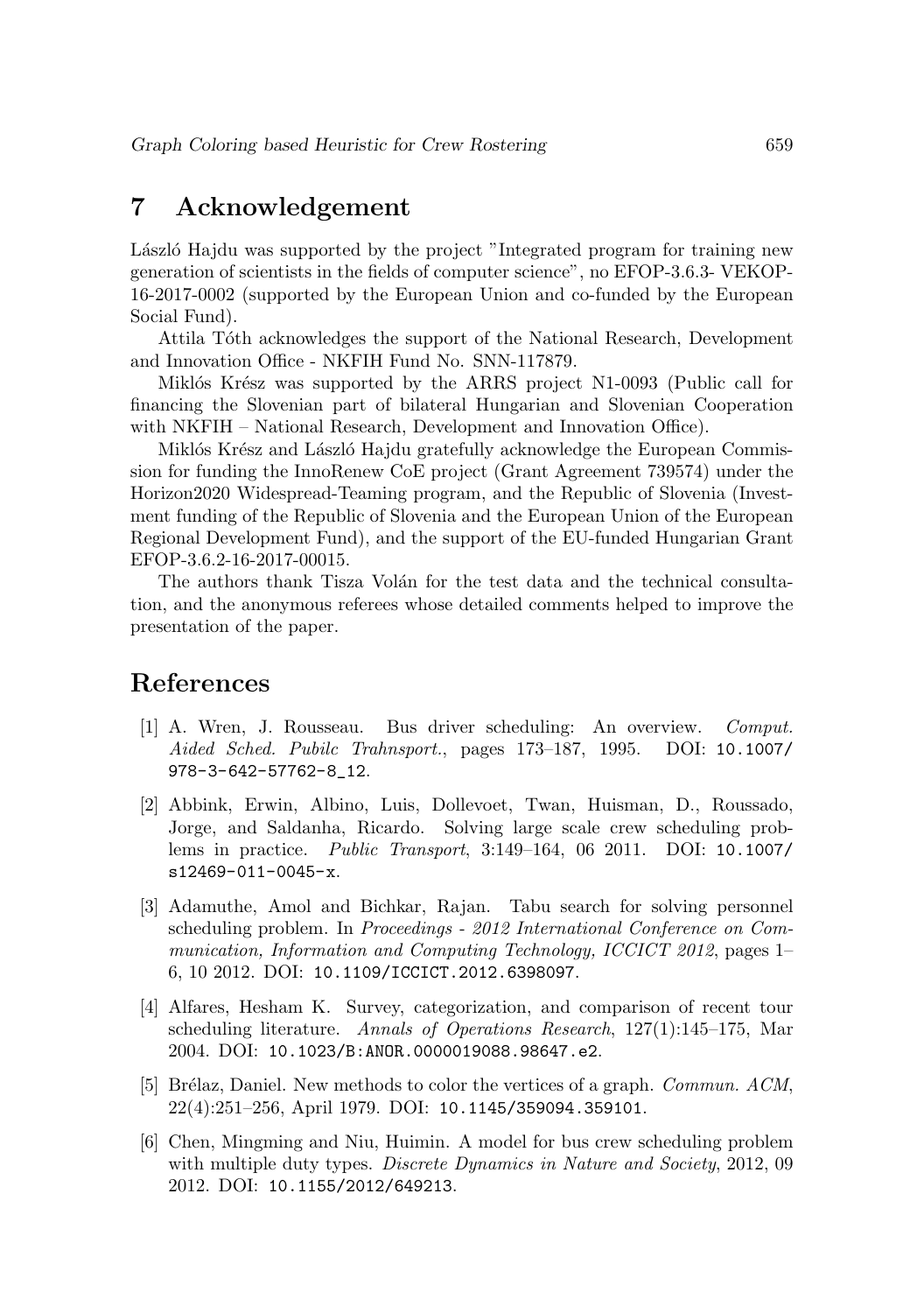# **7 Acknowledgement**

László Hajdu was supported by the project "Integrated program for training new generation of scientists in the fields of computer science", no EFOP-3.6.3- VEKOP-16-2017-0002 (supported by the European Union and co-funded by the European Social Fund).

Attila Tóth acknowledges the support of the National Research, Development and Innovation Office - NKFIH Fund No. SNN-117879.

Miklós Krész was supported by the ARRS project N1-0093 (Public call for financing the Slovenian part of bilateral Hungarian and Slovenian Cooperation with NKFIH – National Research, Development and Innovation Office).

Miklós Krész and László Hajdu gratefully acknowledge the European Commission for funding the InnoRenew CoE project (Grant Agreement 739574) under the Horizon2020 Widespread-Teaming program, and the Republic of Slovenia (Investment funding of the Republic of Slovenia and the European Union of the European Regional Development Fund), and the support of the EU-funded Hungarian Grant EFOP-3.6.2-16-2017-00015.

The authors thank Tisza Volán for the test data and the technical consultation, and the anonymous referees whose detailed comments helped to improve the presentation of the paper.

## **References**

- [1] A. Wren, J. Rousseau. Bus driver scheduling: An overview. Comput. Aided Sched. Pubilc Trahnsport., pages 173–187, 1995. DOI: 10.1007/ 978-3-642-57762-8\_12.
- [2] Abbink, Erwin, Albino, Luis, Dollevoet, Twan, Huisman, D., Roussado, Jorge, and Saldanha, Ricardo. Solving large scale crew scheduling problems in practice. Public Transport, 3:149–164, 06 2011. DOI: 10.1007/ s12469-011-0045-x.
- [3] Adamuthe, Amol and Bichkar, Rajan. Tabu search for solving personnel scheduling problem. In Proceedings - 2012 International Conference on Communication, Information and Computing Technology, ICCICT 2012, pages 1– 6, 10 2012. DOI: 10.1109/ICCICT.2012.6398097.
- [4] Alfares, Hesham K. Survey, categorization, and comparison of recent tour scheduling literature. Annals of Operations Research, 127(1):145–175, Mar 2004. DOI: 10.1023/B:ANOR.0000019088.98647.e2.
- [5] Brélaz, Daniel. New methods to color the vertices of a graph. *Commun. ACM*, 22(4):251–256, April 1979. DOI: 10.1145/359094.359101.
- [6] Chen, Mingming and Niu, Huimin. A model for bus crew scheduling problem with multiple duty types. *Discrete Dynamics in Nature and Society*, 2012, 09 2012. DOI: 10.1155/2012/649213.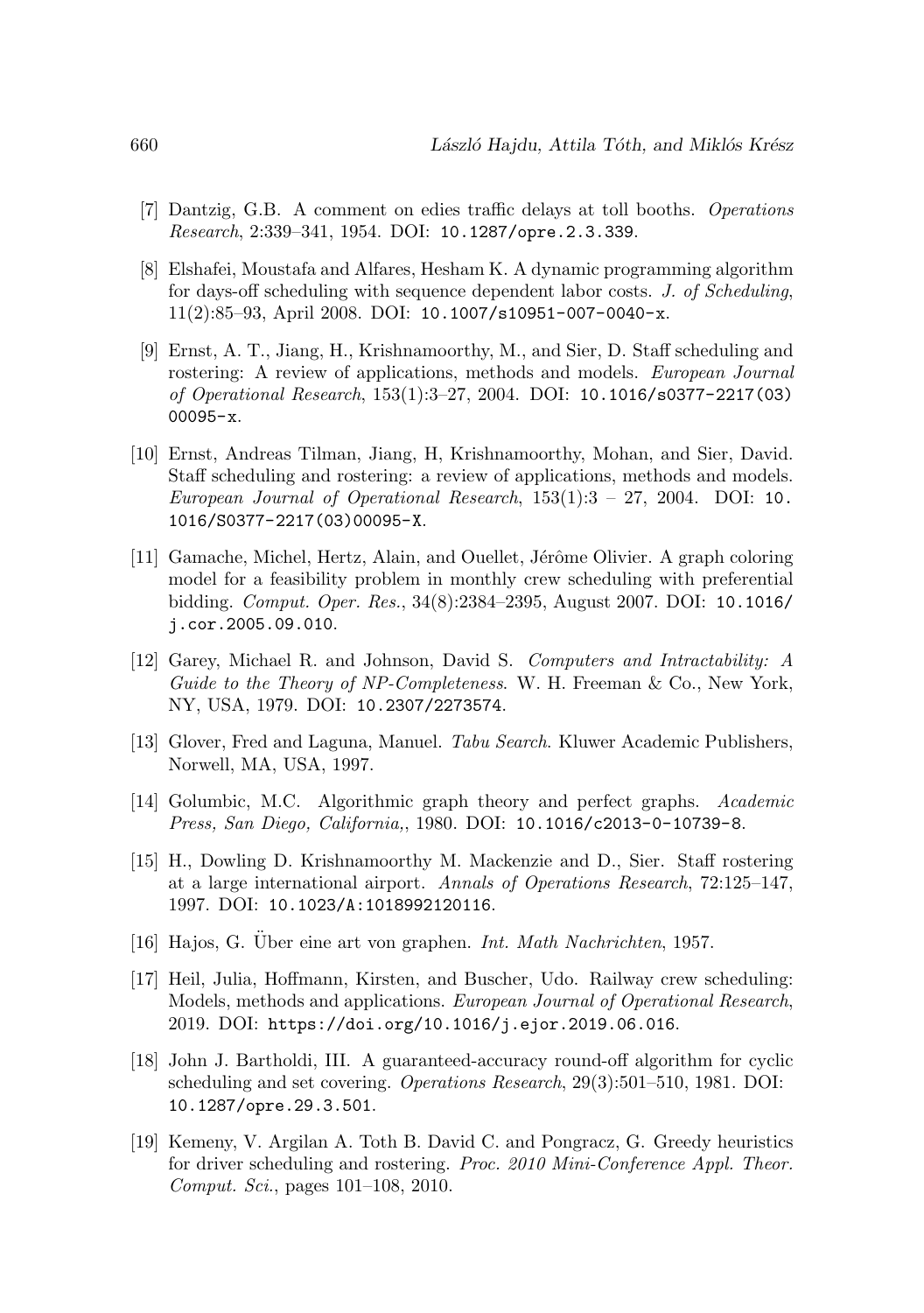- [7] Dantzig, G.B. A comment on edies traffic delays at toll booths. Operations Research, 2:339–341, 1954. DOI: 10.1287/opre.2.3.339.
- [8] Elshafei, Moustafa and Alfares, Hesham K. A dynamic programming algorithm for days-off scheduling with sequence dependent labor costs. J. of Scheduling, 11(2):85–93, April 2008. DOI: 10.1007/s10951-007-0040-x.
- [9] Ernst, A. T., Jiang, H., Krishnamoorthy, M., and Sier, D. Staff scheduling and rostering: A review of applications, methods and models. *European Journal* of Operational Research, 153(1):3–27, 2004. DOI: 10.1016/s0377-2217(03) 00095-x.
- [10] Ernst, Andreas Tilman, Jiang, H, Krishnamoorthy, Mohan, and Sier, David. Staff scheduling and rostering: a review of applications, methods and models. European Journal of Operational Research,  $153(1):3 - 27$ ,  $2004$ . DOI: 10. 1016/S0377-2217(03)00095-X.
- [11] Gamache, Michel, Hertz, Alain, and Ouellet, Jérôme Olivier. A graph coloring model for a feasibility problem in monthly crew scheduling with preferential bidding. Comput. Oper. Res., 34(8):2384–2395, August 2007. DOI: 10.1016/ j.cor.2005.09.010.
- [12] Garey, Michael R. and Johnson, David S. Computers and Intractability: A Guide to the Theory of NP-Completeness. W. H. Freeman & Co., New York, NY, USA, 1979. DOI: 10.2307/2273574.
- [13] Glover, Fred and Laguna, Manuel. Tabu Search. Kluwer Academic Publishers, Norwell, MA, USA, 1997.
- [14] Golumbic, M.C. Algorithmic graph theory and perfect graphs. Academic Press, San Diego, California,, 1980. DOI: 10.1016/c2013-0-10739-8.
- [15] H., Dowling D. Krishnamoorthy M. Mackenzie and D., Sier. Staff rostering at a large international airport. Annals of Operations Research, 72:125–147, 1997. DOI: 10.1023/A:1018992120116.
- [16] Hajos, G. Über eine art von graphen. Int. Math Nachrichten, 1957.
- [17] Heil, Julia, Hoffmann, Kirsten, and Buscher, Udo. Railway crew scheduling: Models, methods and applications. European Journal of Operational Research, 2019. DOI: https://doi.org/10.1016/j.ejor.2019.06.016.
- [18] John J. Bartholdi, III. A guaranteed-accuracy round-off algorithm for cyclic scheduling and set covering. Operations Research, 29(3):501–510, 1981. DOI: 10.1287/opre.29.3.501.
- [19] Kemeny, V. Argilan A. Toth B. David C. and Pongracz, G. Greedy heuristics for driver scheduling and rostering. Proc. 2010 Mini-Conference Appl. Theor. Comput. Sci., pages 101–108, 2010.